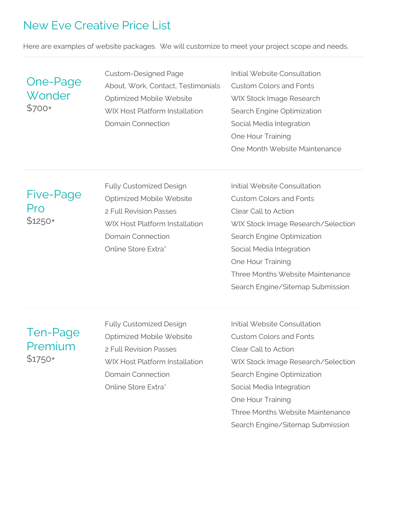# New Eve Creative Price List

Here are examples of website packages. We will customize to meet your project scope and needs.

### One-Page **Wonder** \$700+

Custom-Designed Page About, Work, Contact, Testimonials Optimized Mobile Website WIX Host Platform Installation Domain Connection

Initial Website Consultation Custom Colors and Fonts WIX Stock Image Research Search Engine Optimization Social Media Integration One Hour Training One Month Website Maintenance

Five-Page Pro \$1250+

Fully Customized Design Optimized Mobile Website 2 Full Revision Passes WIX Host Platform Installation Domain Connection Online Store Extra\*

Initial Website Consultation Custom Colors and Fonts Clear Call to Action WIX Stock Image Research/Selection Search Engine Optimization Social Media Integration One Hour Training Three Months Website Maintenance Search Engine/Sitemap Submission

### Ten-Page Premium \$1750+

Fully Customized Design Optimized Mobile Website 2 Full Revision Passes WIX Host Platform Installation Domain Connection Online Store Extra\*

Initial Website Consultation Custom Colors and Fonts Clear Call to Action WIX Stock Image Research/Selection Search Engine Optimization Social Media Integration One Hour Training Three Months Website Maintenance Search Engine/Sitemap Submission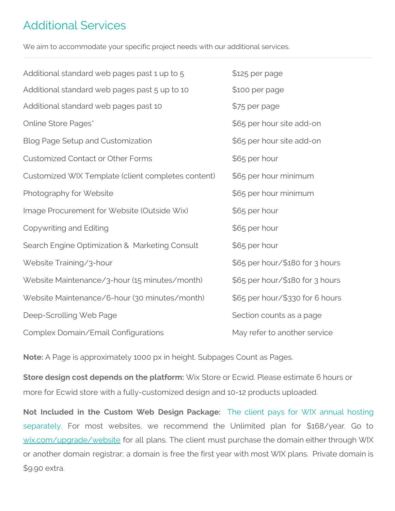# Additional Services

We aim to accommodate your specific project needs with our additional services.

| Additional standard web pages past 1 up to 5       | \$125 per page                  |
|----------------------------------------------------|---------------------------------|
| Additional standard web pages past 5 up to 10      | \$100 per page                  |
| Additional standard web pages past 10              | \$75 per page                   |
| Online Store Pages*                                | \$65 per hour site add-on       |
| <b>Blog Page Setup and Customization</b>           | \$65 per hour site add-on       |
| <b>Customized Contact or Other Forms</b>           | \$65 per hour                   |
| Customized WIX Template (client completes content) | \$65 per hour minimum           |
| Photography for Website                            | \$65 per hour minimum           |
| Image Procurement for Website (Outside Wix)        | \$65 per hour                   |
| Copywriting and Editing                            | \$65 per hour                   |
| Search Engine Optimization & Marketing Consult     | \$65 per hour                   |
| Website Training/3-hour                            | \$65 per hour/\$180 for 3 hours |
| Website Maintenance/3-hour (15 minutes/month)      | \$65 per hour/\$180 for 3 hours |
| Website Maintenance/6-hour (30 minutes/month)      | \$65 per hour/\$330 for 6 hours |
| Deep-Scrolling Web Page                            | Section counts as a page        |
| Complex Domain/Email Configurations                | May refer to another service    |

**Note:** A Page is approximately 1000 px in height. Subpages Count as Pages.

**Store design cost depends on the platform:** Wix Store or Ecwid. Please estimate 6 hours or more for Ecwid store with a fully-customized design and 10-12 products uploaded.

**Not Included in the Custom Web Design Package:** The client pays for WIX annual hosting separately. For most websites, we recommend the Unlimited plan for \$168/year. Go to [wix.com/upgrade/website](http://wix.com/upgrade/website) for all plans. The client must purchase the domain either through WIX or another domain registrar; a domain is free the first year with most WIX plans. Private domain is \$9.90 extra.